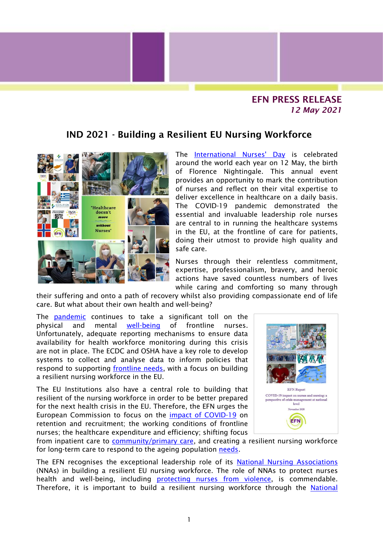## EFN PRESS RELEASE *12 May 2021*

## IND 2021 - Building a Resilient EU Nursing Workforce



The [International Nurses' Day](https://www.icn.ch/what-we-docampaigns/international-nurses-day) is celebrated around the world each year on 12 May, the birth of Florence Nightingale. This annual event provides an opportunity to mark the contribution of nurses and reflect on their vital expertise to deliver excellence in healthcare on a daily basis. The COVID-19 pandemic demonstrated the essential and invaluable leadership role nurses are central to in running the healthcare systems in the EU, at the frontline of care for patients, doing their utmost to provide high quality and safe care.

Nurses through their relentless commitment, expertise, professionalism, bravery, and heroic actions have saved countless numbers of lives while caring and comforting so many through

their suffering and onto a path of recovery whilst also providing compassionate end of life care. But what about their own health and well-being?

The [pandemic](https://anyflip.com/eumpx/ounw/) continues to take a significant toll on the physical and mental [well-being](https://anyflip.com/eumpx/qfgb/) of frontline nurses. Unfortunately, adequate reporting mechanisms to ensure data availability for health workforce monitoring during this crisis are not in place. The ECDC and OSHA have a key role to develop systems to collect and analyse data to inform policies that respond to supporting [frontline](https://anyflip.com/eumpx/qycl/) needs, with a focus on building a resilient nursing workforce in the EU.

The EU Institutions also have a central role to building that resilient of the nursing workforce in order to be better prepared for the next health crisis in the EU. Therefore, the EFN urges the European Commission to focus on the [impact of COVID-19](https://anyflip.com/eumpx/qycl/) on retention and recruitment; the working conditions of frontline nurses; the healthcare expenditure and efficiency; shifting focus



from inpatient care to [community/primary care,](http://www.efnweb.be/wp-content/uploads/EFN-Position-Paper-on-Moving-Care-to-the-Community-Final042015.pdf) and creating a resilient nursing workforce for long-term care to respond to the ageing population [needs.](http://www.enrf.eu/wp-content/uploads/2021/04/ENRF-Evidence-Based-Policy-Brief-on-Care-Left-Undone-April-2021.pdf)

The EFN recognises the exceptional leadership role of its [National Nursing Associations](http://www.efnweb.be/?page_id=802) (NNAs) in building a resilient EU nursing workforce. The role of NNAs to protect nurses health and well-being, including **[protecting nurses from](http://www.efnweb.be/wp-content/uploads/EFN-PS-on-Violence-and-Harassment-Against-Nurses.pdf) violence**, is commendable. Therefore, it is important to build a resilient nursing workforce through the National